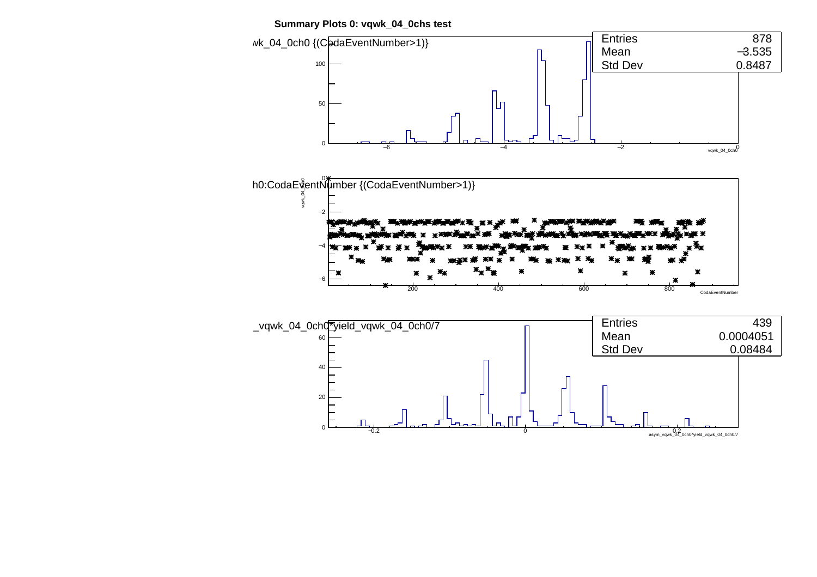

−∩.?



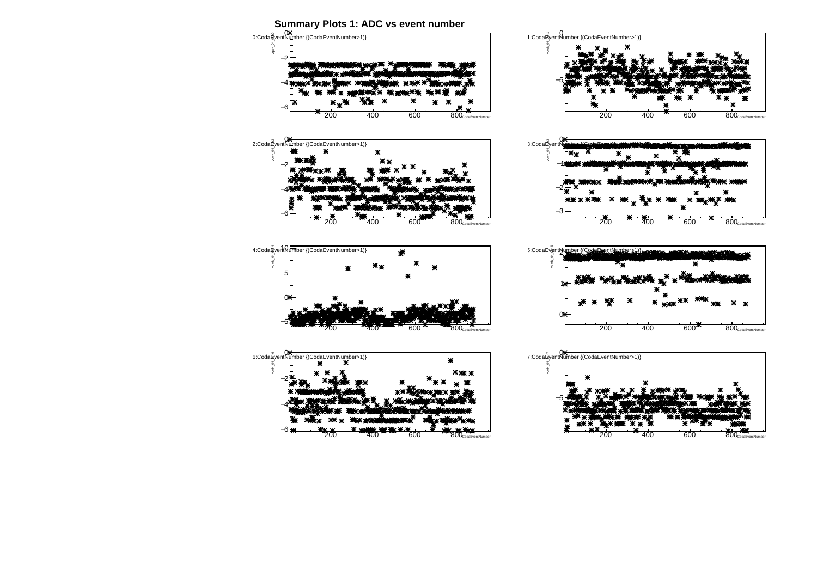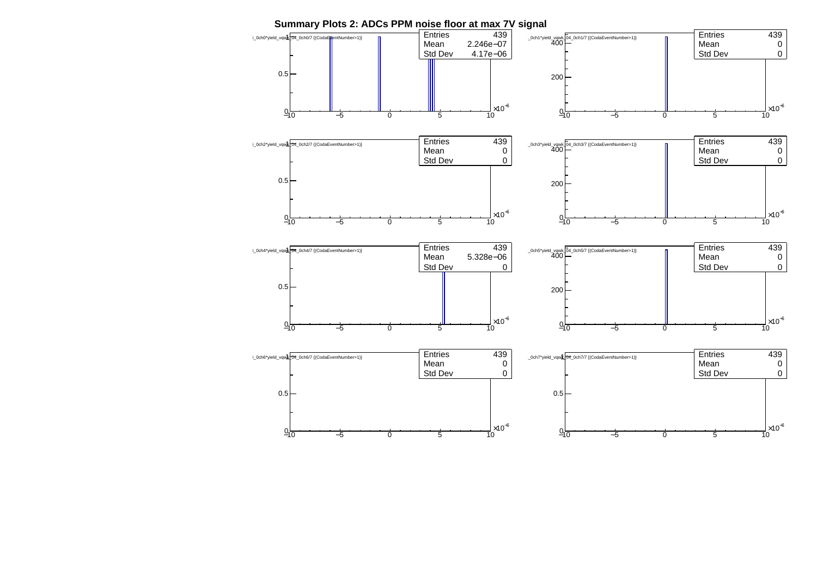

**Summary Plots 2: ADCs PPM noise floor at max 7V signal**